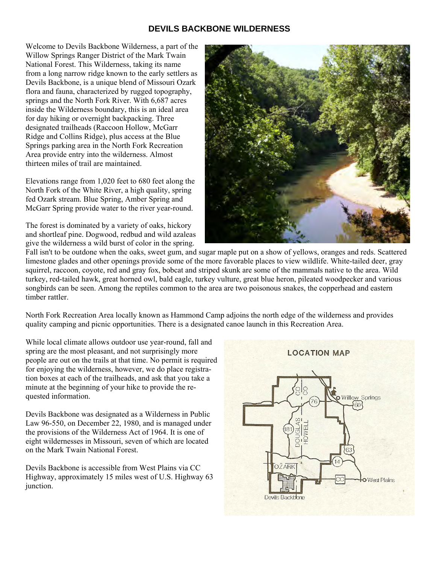# **DEVILS BACKBONE WILDERNESS**

Welcome to Devils Backbone Wilderness, a part of the Willow Springs Ranger District of the Mark Twain National Forest. This Wilderness, taking its name from a long narrow ridge known to the early settlers as Devils Backbone, is a unique blend of Missouri Ozark flora and fauna, characterized by rugged topography, springs and the North Fork River. With 6,687 acres inside the Wilderness boundary, this is an ideal area for day hiking or overnight backpacking. Three designated trailheads (Raccoon Hollow, McGarr Ridge and Collins Ridge), plus access at the Blue Springs parking area in the North Fork Recreation Area provide entry into the wilderness. Almost thirteen miles of trail are maintained.

Elevations range from 1,020 feet to 680 feet along the North Fork of the White River, a high quality, spring fed Ozark stream. Blue Spring, Amber Spring and McGarr Spring provide water to the river year-round.

The forest is dominated by a variety of oaks, hickory and shortleaf pine. Dogwood, redbud and wild azaleas give the wilderness a wild burst of color in the spring.



Fall isn't to be outdone when the oaks, sweet gum, and sugar maple put on a show of yellows, oranges and reds. Scattered limestone glades and other openings provide some of the more favorable places to view wildlife. White-tailed deer, gray squirrel, raccoon, coyote, red and gray fox, bobcat and striped skunk are some of the mammals native to the area. Wild turkey, red-tailed hawk, great horned owl, bald eagle, turkey vulture, great blue heron, pileated woodpecker and various songbirds can be seen. Among the reptiles common to the area are two poisonous snakes, the copperhead and eastern timber rattler.

North Fork Recreation Area locally known as Hammond Camp adjoins the north edge of the wilderness and provides quality camping and picnic opportunities. There is a designated canoe launch in this Recreation Area.

While local climate allows outdoor use year-round, fall and spring are the most pleasant, and not surprisingly more people are out on the trails at that time. No permit is required for enjoying the wilderness, however, we do place registration boxes at each of the trailheads, and ask that you take a minute at the beginning of your hike to provide the requested information.

Devils Backbone was designated as a Wilderness in Public Law 96-550, on December 22, 1980, and is managed under the provisions of the Wilderness Act of 1964. It is one of eight wildernesses in Missouri, seven of which are located on the Mark Twain National Forest.

Devils Backbone is accessible from West Plains via CC Highway, approximately 15 miles west of U.S. Highway 63 junction.

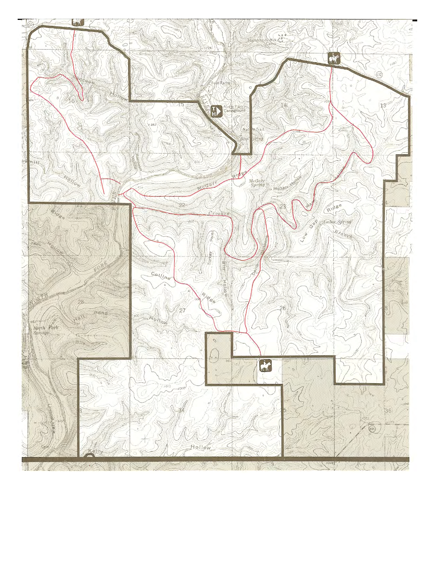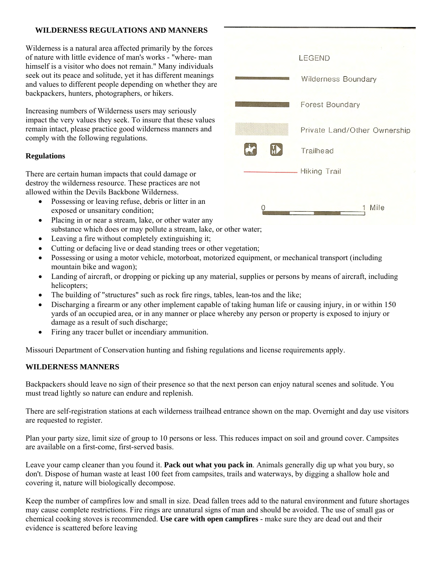## **WILDERNESS REGULATIONS AND MANNERS**

Wilderness is a natural area affected primarily by the forces of nature with little evidence of man's works - "where- man himself is a visitor who does not remain." Many individuals seek out its peace and solitude, yet it has different meanings and values to different people depending on whether they are backpackers, hunters, photographers, or hikers.

Increasing numbers of Wilderness users may seriously impact the very values they seek. To insure that these values remain intact, please practice good wilderness manners and comply with the following regulations.

### **Regulations**

There are certain human impacts that could damage or destroy the wilderness resource. These practices are not allowed within the Devils Backbone Wilderness.

- Possessing or leaving refuse, debris or litter in an exposed or unsanitary condition;
- Placing in or near a stream, lake, or other water any substance which does or may pollute a stream, lake, or other water;
- Leaving a fire without completely extinguishing it;
- Cutting or defacing live or dead standing trees or other vegetation;
- Possessing or using a motor vehicle, motorboat, motorized equipment, or mechanical transport (including mountain bike and wagon);
- Landing of aircraft, or dropping or picking up any material, supplies or persons by means of aircraft, including helicopters;
- The building of "structures" such as rock fire rings, tables, lean-tos and the like;
- Discharging a firearm or any other implement capable of taking human life or causing injury, in or within 150 yards of an occupied area, or in any manner or place whereby any person or property is exposed to injury or damage as a result of such discharge;
- Firing any tracer bullet or incendiary ammunition.

Missouri Department of Conservation hunting and fishing regulations and license requirements apply.

#### **WILDERNESS MANNERS**

Backpackers should leave no sign of their presence so that the next person can enjoy natural scenes and solitude. You must tread lightly so nature can endure and replenish.

There are self-registration stations at each wilderness trailhead entrance shown on the map. Overnight and day use visitors are requested to register.

Plan your party size, limit size of group to 10 persons or less. This reduces impact on soil and ground cover. Campsites are available on a first-come, first-served basis.

Leave your camp cleaner than you found it. **Pack out what you pack in**. Animals generally dig up what you bury, so don't. Dispose of human waste at least 100 feet from campsites, trails and waterways, by digging a shallow hole and covering it, nature will biologically decompose.

Keep the number of campfires low and small in size. Dead fallen trees add to the natural environment and future shortages may cause complete restrictions. Fire rings are unnatural signs of man and should be avoided. The use of small gas or chemical cooking stoves is recommended. **Use care with open campfires** - make sure they are dead out and their evidence is scattered before leaving